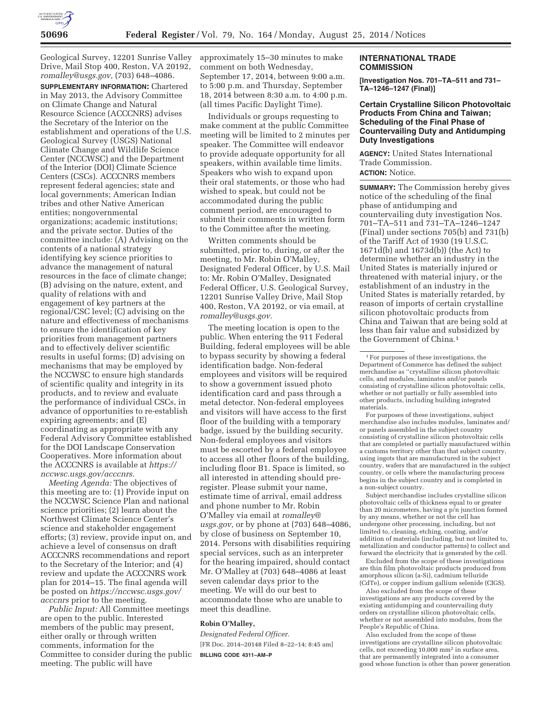

Geological Survey, 12201 Sunrise Valley Drive, Mail Stop 400, Reston, VA 20192, *romalley@usgs.gov,* (703) 648–4086.

**SUPPLEMENTARY INFORMATION:** Chartered in May 2013, the Advisory Committee on Climate Change and Natural Resource Science (ACCCNRS) advises the Secretary of the Interior on the establishment and operations of the U.S. Geological Survey (USGS) National Climate Change and Wildlife Science Center (NCCWSC) and the Department of the Interior (DOI) Climate Science Centers (CSCs). ACCCNRS members represent federal agencies; state and local governments; American Indian tribes and other Native American entities; nongovernmental organizations; academic institutions; and the private sector. Duties of the committee include: (A) Advising on the contents of a national strategy identifying key science priorities to advance the management of natural resources in the face of climate change; (B) advising on the nature, extent, and quality of relations with and engagement of key partners at the regional/CSC level; (C) advising on the nature and effectiveness of mechanisms to ensure the identification of key priorities from management partners and to effectively deliver scientific results in useful forms; (D) advising on mechanisms that may be employed by the NCCWSC to ensure high standards of scientific quality and integrity in its products, and to review and evaluate the performance of individual CSCs, in advance of opportunities to re-establish expiring agreements; and (E) coordinating as appropriate with any Federal Advisory Committee established for the DOI Landscape Conservation Cooperatives. More information about the ACCCNRS is available at *https:// nccwsc.usgs.gov/acccnrs.* 

*Meeting Agenda:* The objectives of this meeting are to: (1) Provide input on the NCCWSC Science Plan and national science priorities; (2) learn about the Northwest Climate Science Center's science and stakeholder engagement efforts; (3) review, provide input on, and achieve a level of consensus on draft ACCCNRS recommendations and report to the Secretary of the Interior; and (4) review and update the ACCCNRS work plan for 2014–15. The final agenda will be posted on *https://nccwsc.usgs.gov/ acccnrs* prior to the meeting.

*Public Input:* All Committee meetings are open to the public. Interested members of the public may present, either orally or through written comments, information for the Committee to consider during the public meeting. The public will have

approximately 15–30 minutes to make comment on both Wednesday, September 17, 2014, between 9:00 a.m. to 5:00 p.m. and Thursday, September 18, 2014 between 8:30 a.m. to 4:00 p.m. (all times Pacific Daylight Time).

Individuals or groups requesting to make comment at the public Committee meeting will be limited to 2 minutes per speaker. The Committee will endeavor to provide adequate opportunity for all speakers, within available time limits. Speakers who wish to expand upon their oral statements, or those who had wished to speak, but could not be accommodated during the public comment period, are encouraged to submit their comments in written form to the Committee after the meeting.

Written comments should be submitted, prior to, during, or after the meeting, to Mr. Robin O'Malley, Designated Federal Officer, by U.S. Mail to: Mr. Robin O'Malley, Designated Federal Officer, U.S. Geological Survey, 12201 Sunrise Valley Drive, Mail Stop 400, Reston, VA 20192, or via email, at *romalley@usgs.gov.* 

The meeting location is open to the public. When entering the 911 Federal Building, federal employees will be able to bypass security by showing a federal identification badge. Non-federal employees and visitors will be required to show a government issued photo identification card and pass through a metal detector. Non-federal employees and visitors will have access to the first floor of the building with a temporary badge, issued by the building security. Non-federal employees and visitors must be escorted by a federal employee to access all other floors of the building, including floor B1. Space is limited, so all interested in attending should preregister. Please submit your name, estimate time of arrival, email address and phone number to Mr. Robin O'Malley via email at *romalley@ usgs.gov,* or by phone at (703) 648–4086, by close of business on September 10, 2014. Persons with disabilities requiring special services, such as an interpreter for the hearing impaired, should contact Mr. O'Malley at (703) 648–4086 at least seven calendar days prior to the meeting. We will do our best to accommodate those who are unable to meet this deadline.

#### **Robin O'Malley,**

*Designated Federal Officer.*  [FR Doc. 2014–20148 Filed 8–22–14; 8:45 am] **BILLING CODE 4311–AM–P** 

## **INTERNATIONAL TRADE COMMISSION**

**[Investigation Nos. 701–TA–511 and 731– TA–1246–1247 (Final)]** 

## **Certain Crystalline Silicon Photovoltaic Products From China and Taiwan; Scheduling of the Final Phase of Countervailing Duty and Antidumping Duty Investigations**

**AGENCY:** United States International Trade Commission. **ACTION:** Notice.

**SUMMARY:** The Commission hereby gives notice of the scheduling of the final phase of antidumping and countervailing duty investigation Nos. 701–TA–511 and 731–TA–1246–1247 (Final) under sections 705(b) and 731(b) of the Tariff Act of 1930 (19 U.S.C. 1671d(b) and 1673d(b)) (the Act) to determine whether an industry in the United States is materially injured or threatened with material injury, or the establishment of an industry in the United States is materially retarded, by reason of imports of certain crystalline silicon photovoltaic products from China and Taiwan that are being sold at less than fair value and subsidized by the Government of China.1

For purposes of these investigations, subject merchandise also includes modules, laminates and/ or panels assembled in the subject country consisting of crystalline silicon photovoltaic cells that are completed or partially manufactured within a customs territory other than that subject country, using ingots that are manufactured in the subject country, wafers that are manufactured in the subject country, or cells where the manufacturing process begins in the subject country and is completed in a non-subject country.

Subject merchandise includes crystalline silicon photovoltaic cells of thickness equal to or greater than 20 micrometers, having a p/n junction formed by any means, whether or not the cell has undergone other processing, including, but not limited to, cleaning, etching, coating, and/or addition of materials (including, but not limited to, metallization and conductor patterns) to collect and forward the electricity that is generated by the cell.

Excluded from the scope of these investigations are thin film photovoltaic products produced from amorphous silicon (a-Si), cadmium telluride (CdTe), or copper indium gallium selenide (CIGS).

Also excluded from the scope of these investigations are any products covered by the existing antidumping and countervailing duty orders on crystalline silicon photovoltaic cells, whether or not assembled into modules, from the People's Republic of China.

Also excluded from the scope of these investigations are crystalline silicon photovoltaic cells, not exceeding 10,000 mm2 in surface area, that are permanently integrated into a consumer good whose function is other than power generation

<sup>1</sup>For purposes of these investigations, the Department of Commerce has defined the subject merchandise as ''crystalline silicon photovoltaic cells, and modules, laminates and/or panels consisting of crystalline silicon photovoltaic cells, whether or not partially or fully assembled into other products, including building integrated materials.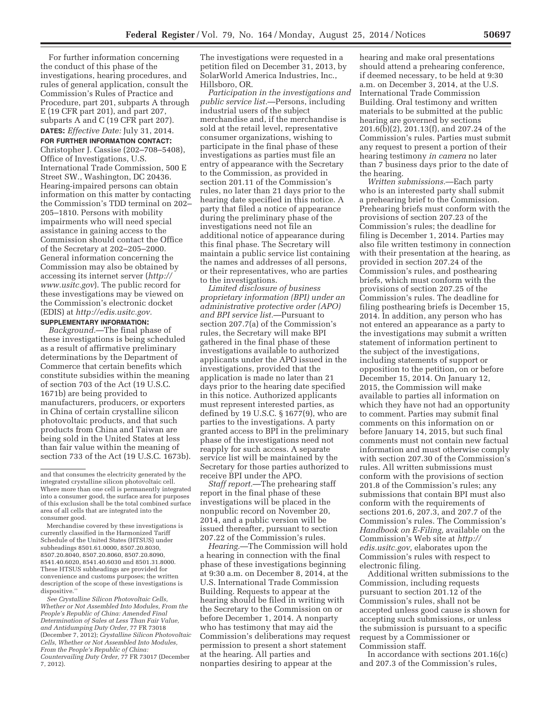For further information concerning the conduct of this phase of the investigations, hearing procedures, and rules of general application, consult the Commission's Rules of Practice and Procedure, part 201, subparts A through E (19 CFR part 201), and part 207, subparts A and C (19 CFR part 207). **DATES:** *Effective Date:* July 31, 2014.

# **FOR FURTHER INFORMATION CONTACT:**

Christopher J. Cassise (202–708–5408), Office of Investigations, U.S. International Trade Commission, 500 E Street SW., Washington, DC 20436. Hearing-impaired persons can obtain information on this matter by contacting the Commission's TDD terminal on 202– 205–1810. Persons with mobility impairments who will need special assistance in gaining access to the Commission should contact the Office of the Secretary at 202–205–2000. General information concerning the Commission may also be obtained by accessing its internet server (*http:// www.usitc.gov*). The public record for these investigations may be viewed on the Commission's electronic docket (EDIS) at *http://edis.usitc.gov.* 

# **SUPPLEMENTARY INFORMATION:**

*Background.*—The final phase of these investigations is being scheduled as a result of affirmative preliminary determinations by the Department of Commerce that certain benefits which constitute subsidies within the meaning of section 703 of the Act (19 U.S.C. 1671b) are being provided to manufacturers, producers, or exporters in China of certain crystalline silicon photovoltaic products, and that such products from China and Taiwan are being sold in the United States at less than fair value within the meaning of section 733 of the Act (19 U.S.C. 1673b).

*See Crystalline Silicon Photovoltaic Cells, Whether or Not Assembled Into Modules, From the People's Republic of China: Amended Final Determination of Sales at Less Than Fair Value, and Antidumping Duty Order,* 77 FR 73018 (December 7, 2012); *Crystalline Silicon Photovoltaic Cells, Whether or Not Assembled Into Modules, From the People's Republic of China: Countervailing Duty Order,* 77 FR 73017 (December 7, 2012).

The investigations were requested in a petition filed on December 31, 2013, by SolarWorld America Industries, Inc., Hillsboro, OR.

*Participation in the investigations and public service list.*—Persons, including industrial users of the subject merchandise and, if the merchandise is sold at the retail level, representative consumer organizations, wishing to participate in the final phase of these investigations as parties must file an entry of appearance with the Secretary to the Commission, as provided in section 201.11 of the Commission's rules, no later than 21 days prior to the hearing date specified in this notice. A party that filed a notice of appearance during the preliminary phase of the investigations need not file an additional notice of appearance during this final phase. The Secretary will maintain a public service list containing the names and addresses of all persons, or their representatives, who are parties to the investigations.

*Limited disclosure of business proprietary information (BPI) under an administrative protective order (APO) and BPI service list.*—Pursuant to section 207.7(a) of the Commission's rules, the Secretary will make BPI gathered in the final phase of these investigations available to authorized applicants under the APO issued in the investigations, provided that the application is made no later than 21 days prior to the hearing date specified in this notice. Authorized applicants must represent interested parties, as defined by 19 U.S.C. § 1677(9), who are parties to the investigations. A party granted access to BPI in the preliminary phase of the investigations need not reapply for such access. A separate service list will be maintained by the Secretary for those parties authorized to receive BPI under the APO.

*Staff report.*—The prehearing staff report in the final phase of these investigations will be placed in the nonpublic record on November 20, 2014, and a public version will be issued thereafter, pursuant to section 207.22 of the Commission's rules.

*Hearing.*—The Commission will hold a hearing in connection with the final phase of these investigations beginning at 9:30 a.m. on December 8, 2014, at the U.S. International Trade Commission Building. Requests to appear at the hearing should be filed in writing with the Secretary to the Commission on or before December 1, 2014. A nonparty who has testimony that may aid the Commission's deliberations may request permission to present a short statement at the hearing. All parties and nonparties desiring to appear at the

hearing and make oral presentations should attend a prehearing conference, if deemed necessary, to be held at 9:30 a.m. on December 3, 2014, at the U.S. International Trade Commission Building. Oral testimony and written materials to be submitted at the public hearing are governed by sections 201.6(b)(2), 201.13(f), and 207.24 of the Commission's rules. Parties must submit any request to present a portion of their hearing testimony *in camera* no later than 7 business days prior to the date of the hearing.

*Written submissions.*—Each party who is an interested party shall submit a prehearing brief to the Commission. Prehearing briefs must conform with the provisions of section 207.23 of the Commission's rules; the deadline for filing is December 1, 2014. Parties may also file written testimony in connection with their presentation at the hearing, as provided in section 207.24 of the Commission's rules, and posthearing briefs, which must conform with the provisions of section 207.25 of the Commission's rules. The deadline for filing posthearing briefs is December 15, 2014. In addition, any person who has not entered an appearance as a party to the investigations may submit a written statement of information pertinent to the subject of the investigations, including statements of support or opposition to the petition, on or before December 15, 2014. On January 12, 2015, the Commission will make available to parties all information on which they have not had an opportunity to comment. Parties may submit final comments on this information on or before January 14, 2015, but such final comments must not contain new factual information and must otherwise comply with section 207.30 of the Commission's rules. All written submissions must conform with the provisions of section 201.8 of the Commission's rules; any submissions that contain BPI must also conform with the requirements of sections 201.6, 207.3, and 207.7 of the Commission's rules. The Commission's *Handbook on E-Filing,* available on the Commission's Web site at *http:// edis.usitc.gov,* elaborates upon the Commission's rules with respect to electronic filing.

Additional written submissions to the Commission, including requests pursuant to section 201.12 of the Commission's rules, shall not be accepted unless good cause is shown for accepting such submissions, or unless the submission is pursuant to a specific request by a Commissioner or Commission staff.

In accordance with sections 201.16(c) and 207.3 of the Commission's rules,

and that consumes the electricity generated by the integrated crystalline silicon photovoltaic cell. Where more than one cell is permanently integrated into a consumer good, the surface area for purposes of this exclusion shall be the total combined surface area of all cells that are integrated into the consumer good.

Merchandise covered by these investigations is currently classified in the Harmonized Tariff Schedule of the United States (HTSUS) under subheadings 8501.61.0000, 8507.20.8030, 8507.20.8040, 8507.20.8060, 8507.20.8090, 8541.40.6020, 8541.40.6030 and 8501.31.8000. These HTSUS subheadings are provided for convenience and customs purposes; the written description of the scope of these investigations is dispositive.